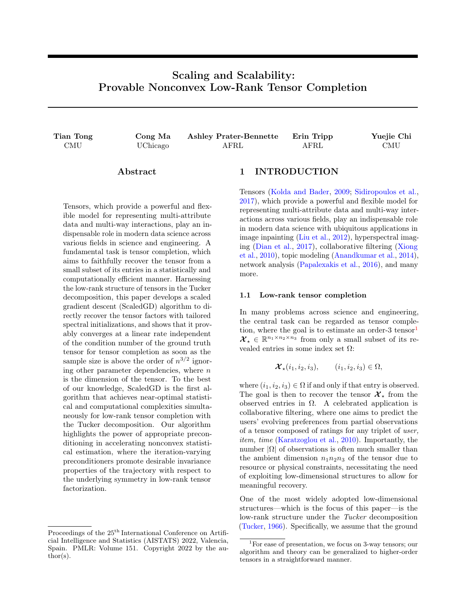# Scaling and Scalability: Provable Nonconvex Low-Rank Tensor Completion

| Tian Tong  | Cong Ma  | <b>Ashley Prater-Bennette</b> | Erin Tripp | Yuejie Chi |  |
|------------|----------|-------------------------------|------------|------------|--|
| <b>CMU</b> | UChicago | AFRL                          | AFRL       | CMU        |  |

# Abstract

Tensors, which provide a powerful and flexible model for representing multi-attribute data and multi-way interactions, play an indispensable role in modern data science across various fields in science and engineering. A fundamental task is tensor completion, which aims to faithfully recover the tensor from a small subset of its entries in a statistically and computationally efficient manner. Harnessing the low-rank structure of tensors in the Tucker decomposition, this paper develops a scaled gradient descent (ScaledGD) algorithm to directly recover the tensor factors with tailored spectral initializations, and shows that it provably converges at a linear rate independent of the condition number of the ground truth tensor for tensor completion as soon as the sample size is above the order of  $n^{3/2}$  ignoring other parameter dependencies, where  $n$ is the dimension of the tensor. To the best of our knowledge, ScaledGD is the first algorithm that achieves near-optimal statistical and computational complexities simultaneously for low-rank tensor completion with the Tucker decomposition. Our algorithm highlights the power of appropriate preconditioning in accelerating nonconvex statistical estimation, where the iteration-varying preconditioners promote desirable invariance properties of the trajectory with respect to the underlying symmetry in low-rank tensor factorization.

# 1 INTRODUCTION

Tensors [\(Kolda and Bader,](#page-9-0) [2009;](#page-9-0) [Sidiropoulos et al.,](#page-9-1) [2017\)](#page-9-1), which provide a powerful and flexible model for representing multi-attribute data and multi-way interactions across various fields, play an indispensable role in modern data science with ubiquitous applications in image inpainting [\(Liu et al.,](#page-9-2) [2012\)](#page-9-2), hyperspectral imaging [\(Dian et al.,](#page-9-3) [2017\)](#page-9-3), collaborative filtering [\(Xiong](#page-10-0) [et al.,](#page-10-0) [2010\)](#page-10-0), topic modeling [\(Anandkumar et al.,](#page-8-0) [2014\)](#page-8-0), network analysis [\(Papalexakis et al.,](#page-9-4) [2016\)](#page-9-4), and many more.

### 1.1 Low-rank tensor completion

In many problems across science and engineering, the central task can be regarded as tensor completion, where the goal is to estimate an order-3 tensor $<sup>1</sup>$  $<sup>1</sup>$  $<sup>1</sup>$ </sup>  $\mathcal{X}_{\star} \in \mathbb{R}^{n_1 \times n_2 \times n_3}$  from only a small subset of its revealed entries in some index set  $\Omega$ :

$$
\mathcal{X}_{\star}(i_1, i_2, i_3), \qquad (i_1, i_2, i_3) \in \Omega,
$$

where  $(i_1, i_2, i_3) \in \Omega$  if and only if that entry is observed. The goal is then to recover the tensor  $\mathcal{X}_{*}$  from the observed entries in  $\Omega$ . A celebrated application is collaborative filtering, where one aims to predict the users' evolving preferences from partial observations of a tensor composed of ratings for any triplet of user, item, time [\(Karatzoglou et al.,](#page-9-5) [2010\)](#page-9-5). Importantly, the number  $|\Omega|$  of observations is often much smaller than the ambient dimension  $n_1n_2n_3$  of the tensor due to resource or physical constraints, necessitating the need of exploiting low-dimensional structures to allow for meaningful recovery.

One of the most widely adopted low-dimensional structures—which is the focus of this paper—is the low-rank structure under the Tucker decomposition [\(Tucker,](#page-10-1) [1966\)](#page-10-1). Specifically, we assume that the ground

Proceedings of the  $25<sup>th</sup>$  International Conference on Artificial Intelligence and Statistics (AISTATS) 2022, Valencia, Spain. PMLR: Volume 151. Copyright 2022 by the author(s).

<span id="page-0-0"></span><sup>1</sup>For ease of presentation, we focus on 3-way tensors; our algorithm and theory can be generalized to higher-order tensors in a straightforward manner.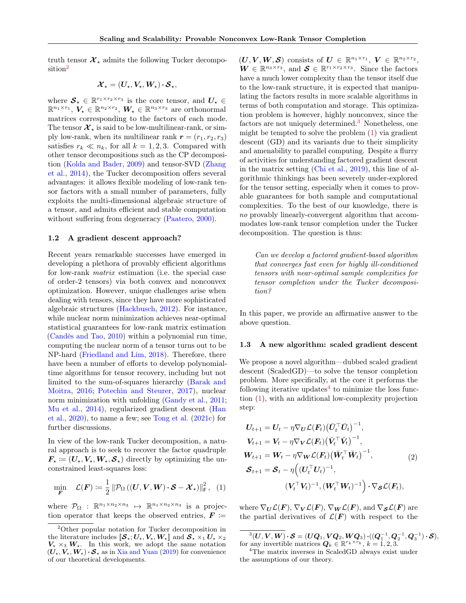truth tensor  $\mathcal{X}_{\star}$  admits the following Tucker decomposition[2](#page-1-0)

$$
\boldsymbol{\mathcal{X}}_{\star}=(\boldsymbol{U}_{\star},\boldsymbol{V}_{\star},\boldsymbol{W}_{\star})\boldsymbol{\cdot}\boldsymbol{\mathcal{S}}_{\star},
$$

where  $\mathcal{S}_{\star} \in \mathbb{R}^{r_1 \times r_2 \times r_3}$  is the core tensor, and  $U_{\star} \in$  $\mathbb{R}^{n_1 \times r_1}$ ,  $V_{\star} \in \mathbb{R}^{n_2 \times r_2}$ ,  $W_{\star} \in \mathbb{R}^{n_3 \times r_3}$  are orthonormal matrices corresponding to the factors of each mode. The tensor  $\mathcal{X}_{\star}$  is said to be low-multilinear-rank, or simply low-rank, when its multilinear rank  $r = (r_1, r_2, r_3)$ satisfies  $r_k \ll n_k$ , for all  $k = 1, 2, 3$ . Compared with other tensor decompositions such as the CP decomposition [\(Kolda and Bader,](#page-9-0) [2009\)](#page-9-0) and tensor-SVD [\(Zhang](#page-10-2) [et al.,](#page-10-2) [2014\)](#page-10-2), the Tucker decomposition offers several advantages: it allows flexible modeling of low-rank tensor factors with a small number of parameters, fully exploits the multi-dimensional algebraic structure of a tensor, and admits efficient and stable computation without suffering from degeneracy [\(Paatero,](#page-9-6) [2000\)](#page-9-6).

### 1.2 A gradient descent approach?

Recent years remarkable successes have emerged in developing a plethora of provably efficient algorithms for low-rank matrix estimation (i.e. the special case of order-2 tensors) via both convex and nonconvex optimization. However, unique challenges arise when dealing with tensors, since they have more sophisticated algebraic structures [\(Hackbusch,](#page-9-7) [2012\)](#page-9-7). For instance, while nuclear norm minimization achieves near-optimal statistical guarantees for low-rank matrix estimation [\(Candès and Tao,](#page-9-8) [2010\)](#page-9-8) within a polynomial run time, computing the nuclear norm of a tensor turns out to be NP-hard [\(Friedland and Lim,](#page-9-9) [2018\)](#page-9-9). Therefore, there have been a number of efforts to develop polynomialtime algorithms for tensor recovery, including but not limited to the sum-of-squares hierarchy [\(Barak and](#page-9-10) [Moitra,](#page-9-10) [2016;](#page-9-10) [Potechin and Steurer,](#page-9-11) [2017\)](#page-9-11), nuclear norm minimization with unfolding [\(Gandy et al.,](#page-9-12) [2011;](#page-9-12) [Mu et al.,](#page-9-13) [2014\)](#page-9-13), regularized gradient descent [\(Han](#page-9-14) [et al.,](#page-9-14) [2020\)](#page-9-14), to name a few; see [Tong et al.](#page-10-3) [\(2021c\)](#page-10-3) for further discussions.

In view of the low-rank Tucker decomposition, a natural approach is to seek to recover the factor quadruple  $\mathbf{F}_{\star} \coloneqq (\mathbf{U}_{\star},\mathbf{V}_{\star},\mathbf{W}_{\star},\mathbf{S}_{\star})$  directly by optimizing the unconstrained least-squares loss:

$$
\min_{\mathbf{F}} \quad \mathcal{L}(\mathbf{F}) \coloneqq \frac{1}{2} \left\| \mathcal{P}_{\Omega} \left( (\mathbf{U}, \mathbf{V}, \mathbf{W}) \cdot \mathbf{S} - \mathbf{\mathcal{X}}_{\star} \right) \right\|_{\mathsf{F}}^{2}, \quad (1)
$$

where  $\mathcal{P}_{\Omega}$  :  $\mathbb{R}^{n_1 \times n_2 \times n_3} \mapsto \mathbb{R}^{n_1 \times n_2 \times n_3}$  is a projection operator that keeps the observed entries,  $\boldsymbol{F}$  :=

 $(\boldsymbol{U}, \boldsymbol{V}, \boldsymbol{W}, \boldsymbol{S})$  consists of  $\boldsymbol{U} \in \mathbb{R}^{n_1 \times r_1}, \boldsymbol{V} \in \mathbb{R}^{n_2 \times r_2},$  $\mathbf{W} \in \mathbb{R}^{n_3 \times r_3}$ , and  $\mathbf{S} \in \mathbb{R}^{r_1 \times r_2 \times r_3}$ . Since the factors have a much lower complexity than the tensor itself due to the low-rank structure, it is expected that manipulating the factors results in more scalable algorithms in terms of both computation and storage. This optimization problem is however, highly nonconvex, since the factors are not uniquely determined.<sup>[3](#page-1-1)</sup> Nonetheless, one might be tempted to solve the problem  $(1)$  via gradient descent (GD) and its variants due to their simplicity and amenability to parallel computing. Despite a flurry of activities for understanding factored gradient descent in the matrix setting [\(Chi et al.,](#page-9-15) [2019\)](#page-9-15), this line of algorithmic thinkings has been severely under-explored for the tensor setting, especially when it comes to provable guarantees for both sample and computational complexities. To the best of our knowledge, there is no provably linearly-convergent algorithm that accommodates low-rank tensor completion under the Tucker decomposition. The question is thus:

Can we develop a factored gradient-based algorithm that converges fast even for highly ill-conditioned tensors with near-optimal sample complexities for tensor completion under the Tucker decomposition?

In this paper, we provide an affirmative answer to the above question.

#### 1.3 A new algorithm: scaled gradient descent

We propose a novel algorithm—dubbed scaled gradient descent (ScaledGD)—to solve the tensor completion problem. More specifically, at the core it performs the following iterative updates<sup>[4](#page-1-3)</sup> to minimize the loss function [\(1\)](#page-1-2), with an additional low-complexity projection step:

<span id="page-1-4"></span>
$$
U_{t+1} = U_t - \eta \nabla_U \mathcal{L}(\mathbf{F}_t) (\breve{\mathbf{U}}_t^\top \breve{\mathbf{U}}_t)^{-1},
$$
  
\n
$$
V_{t+1} = V_t - \eta \nabla_V \mathcal{L}(\mathbf{F}_t) (\breve{\mathbf{V}}_t^\top \breve{\mathbf{V}}_t)^{-1},
$$
  
\n
$$
W_{t+1} = W_t - \eta \nabla_W \mathcal{L}(\mathbf{F}_t) (\breve{\mathbf{W}}_t^\top \breve{\mathbf{W}}_t)^{-1},
$$
  
\n
$$
S_{t+1} = S_t - \eta ((\mathbf{U}_t^\top \mathbf{U}_t)^{-1},
$$
  
\n
$$
(\mathbf{V}_t^\top \mathbf{V}_t)^{-1}, (\mathbf{W}_t^\top \mathbf{W}_t)^{-1}) \cdot \nabla_S \mathcal{L}(\mathbf{F}_t),
$$
  
\n(2)

<span id="page-1-2"></span>where  $\nabla_U \mathcal{L}(F)$ ,  $\nabla_V \mathcal{L}(F)$ ,  $\nabla_W \mathcal{L}(F)$ , and  $\nabla_S \mathcal{L}(F)$  are the partial derivatives of  $\mathcal{L}(F)$  with respect to the

<span id="page-1-1"></span> $\mathcal{S}^3(U,V,W)\cdot \mathcal{S} = (UQ_1,VQ_2,WQ_3)\cdot ((Q_1^{-1},Q_2^{-1},Q_3^{-1})\cdot \mathcal{S}),$ for any invertible matrices  $\mathbf{Q}_k \in \mathbb{R}^{r_k \times r_k}, k = 1, 2, 3.$ 

<span id="page-1-0"></span><sup>2</sup>Other popular notation for Tucker decomposition in the literature includes  $[\mathcal{S}_\star; U_\star, V_\star, W_\star]$  and  $\mathcal{S}_\star \times_1 U_\star \times_2$  $V_{\star} \times_3 W_{\star}$ . In this work, we adopt the same notation  $(U_{\star},V_{\star},W_{\star})\cdot\mathcal{S}_{\star}$  as in [Xia and Yuan](#page-10-4) [\(2019\)](#page-10-4) for convenience of our theoretical developments.

<span id="page-1-3"></span><sup>4</sup>The matrix inverses in ScaledGD always exist under the assumptions of our theory.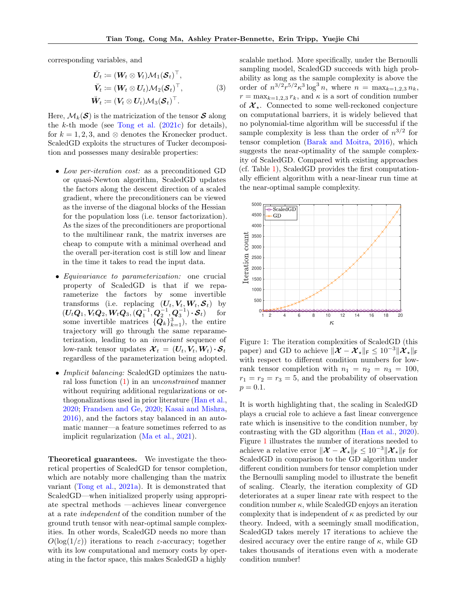corresponding variables, and

$$
\breve{\boldsymbol{U}}_t := (\boldsymbol{W}_t \otimes \boldsymbol{V}_t) \mathcal{M}_1(\boldsymbol{S}_t)^\top, \n\breve{\boldsymbol{V}}_t := (\boldsymbol{W}_t \otimes \boldsymbol{U}_t) \mathcal{M}_2(\boldsymbol{S}_t)^\top, \n\breve{\boldsymbol{W}}_t := (\boldsymbol{V}_t \otimes \boldsymbol{U}_t) \mathcal{M}_3(\boldsymbol{S}_t)^\top.
$$
\n(3)

Here,  $\mathcal{M}_k(\mathcal{S})$  is the matricization of the tensor  $\mathcal{S}$  along the  $k$ -th mode (see [Tong et al.](#page-10-3)  $(2021c)$  for details), for  $k = 1, 2, 3$ , and ⊗ denotes the Kronecker product. ScaledGD exploits the structures of Tucker decomposition and possesses many desirable properties:

- Low per-iteration cost: as a preconditioned GD or quasi-Newton algorithm, ScaledGD updates the factors along the descent direction of a scaled gradient, where the preconditioners can be viewed as the inverse of the diagonal blocks of the Hessian for the population loss (i.e. tensor factorization). As the sizes of the preconditioners are proportional to the multilinear rank, the matrix inverses are cheap to compute with a minimal overhead and the overall per-iteration cost is still low and linear in the time it takes to read the input data.
- Equivariance to parameterization: one crucial property of ScaledGD is that if we reparameterize the factors by some invertible transforms (i.e. replacing  $(U_t, V_t, W_t, \mathcal{S}_t)$  by  $(\boldsymbol{U_t}\boldsymbol{Q}_1,\boldsymbol{V_t}\boldsymbol{Q}_2,\boldsymbol{W_t}\boldsymbol{Q}_3, (\boldsymbol{Q}_1^{-1},\boldsymbol{Q}_2^{-1},\boldsymbol{Q}_3^{-1})\cdot\boldsymbol{\mathcal{S}}_t )$  for some invertible matrices  $\{Q_k\}_{k=1}^3$ ), the entire trajectory will go through the same reparameterization, leading to an invariant sequence of low-rank tensor updates  $\mathcal{X}_t = (\mathbf{U}_t, \mathbf{V}_t, \mathbf{W}_t) \cdot \mathcal{S}_t$ regardless of the parameterization being adopted.
- *Implicit balancing:* ScaledGD optimizes the natural loss function [\(1\)](#page-1-2) in an unconstrained manner without requiring additional regularizations or orthogonalizations used in prior literature [\(Han et al.,](#page-9-14) [2020;](#page-9-14) [Frandsen and Ge,](#page-9-16) [2020;](#page-9-16) [Kasai and Mishra,](#page-9-17) [2016\)](#page-9-17), and the factors stay balanced in an automatic manner—a feature sometimes referred to as implicit regularization [\(Ma et al.,](#page-9-18) [2021\)](#page-9-18).

Theoretical guarantees. We investigate the theoretical properties of ScaledGD for tensor completion, which are notably more challenging than the matrix variant [\(Tong et al.,](#page-9-19) [2021a\)](#page-9-19). It is demonstrated that ScaledGD—when initialized properly using appropriate spectral methods —achieves linear convergence at a rate independent of the condition number of the ground truth tensor with near-optimal sample complexities. In other words, ScaledGD needs no more than  $O(\log(1/\varepsilon))$  iterations to reach  $\varepsilon$ -accuracy; together with its low computational and memory costs by operating in the factor space, this makes ScaledGD a highly <span id="page-2-1"></span>scalable method. More specifically, under the Bernoulli sampling model, ScaledGD succeeds with high probability as long as the sample complexity is above the order of  $n^{3/2}r^{5/2}\kappa^3\log^3 n$ , where  $n = \max_{k=1,2,3} n_k$ ,  $r = \max_{k=1,2,3} r_k$ , and  $\kappa$  is a sort of condition number of  $\mathcal{X}_{\star}$ . Connected to some well-reckoned conjecture on computational barriers, it is widely believed that no polynomial-time algorithm will be successful if the sample complexity is less than the order of  $n^{3/2}$  for tensor completion [\(Barak and Moitra,](#page-9-10) [2016\)](#page-9-10), which suggests the near-optimality of the sample complexity of ScaledGD. Compared with existing approaches (cf. Table [1\)](#page-3-0), ScaledGD provides the first computationally efficient algorithm with a near-linear run time at the near-optimal sample complexity.



<span id="page-2-0"></span>Figure 1: The iteration complexities of ScaledGD (this paper) and GD to achieve  $\|\mathcal{X} - \mathcal{X}_{\star}\|_{\mathsf{F}} \leq 10^{-3}\|\mathcal{X}_{\star}\|_{\mathsf{F}}$ with respect to different condition numbers for lowrank tensor completion with  $n_1 = n_2 = n_3 = 100$ ,  $r_1 = r_2 = r_3 = 5$ , and the probability of observation  $p = 0.1.$ 

It is worth highlighting that, the scaling in ScaledGD plays a crucial role to achieve a fast linear convergence rate which is insensitive to the condition number, by contrasting with the GD algorithm [\(Han et al.,](#page-9-14) [2020\)](#page-9-14). Figure [1](#page-2-0) illustrates the number of iterations needed to achieve a relative error  $\|\mathcal{X} - \mathcal{X}_{\star}\|_{\text{F}} \leq 10^{-3} \|\mathcal{X}_{\star}\|_{\text{F}}$  for ScaledGD in comparison to the GD algorithm under different condition numbers for tensor completion under the Bernoulli sampling model to illustrate the benefit of scaling. Clearly, the iteration complexity of GD deteriorates at a super linear rate with respect to the condition number  $\kappa$ , while ScaledGD enjoys an iteration complexity that is independent of  $\kappa$  as predicted by our theory. Indeed, with a seemingly small modification, ScaledGD takes merely 17 iterations to achieve the desired accuracy over the entire range of  $\kappa$ , while GD takes thousands of iterations even with a moderate condition number!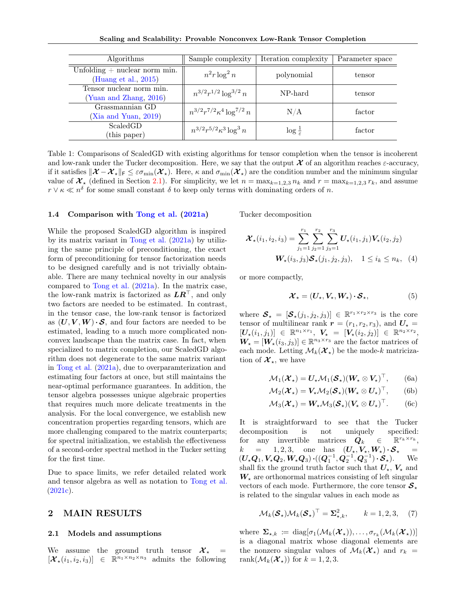Scaling and Scalability: Provable Nonconvex Low-Rank Tensor Completion

| Algorithms                                                 | Sample complexity                   | Iteration complexity      | Parameter space |
|------------------------------------------------------------|-------------------------------------|---------------------------|-----------------|
| Unfolding $+$ nuclear norm min.<br>(Huang et al., $2015$ ) | $n^2 r \log^2 n$                    | polynomial                | tensor          |
| Tensor nuclear norm min.<br>(Yuan and Zhang, 2016)         | $n^{3/2}r^{1/2}\log^{3/2}n$         | NP-hard                   | tensor          |
| Grassmannian GD<br>(Xia and Yuan, 2019)                    | $n^{3/2}r^{7/2}\kappa^4\log^{7/2}n$ | N/A                       | factor          |
| ScaledGD<br>(this paper)                                   | $n^{3/2}r^{5/2}\kappa^3\log^3 n$    | $\log \frac{1}{\epsilon}$ | factor          |

<span id="page-3-0"></span>Table 1: Comparisons of ScaledGD with existing algorithms for tensor completion when the tensor is incoherent and low-rank under the Tucker decomposition. Here, we say that the output  $\mathcal X$  of an algorithm reaches  $\varepsilon$ -accuracy, if it satisfies  $\|\mathcal{X}-\mathcal{X}_{\star}\|_{\mathsf{F}} \leq \varepsilon \sigma_{\min}(\mathcal{X}_{\star})$ . Here,  $\kappa$  and  $\sigma_{\min}(\mathcal{X}_{\star})$  are the condition number and the minimum singular value of  $\mathcal{X}_{\star}$  (defined in Section [2.1\)](#page-3-1). For simplicity, we let  $n = \max_{k=1,2,3} n_k$  and  $r = \max_{k=1,2,3} r_k$ , and assume  $r \vee \kappa \ll n^{\delta}$  for some small constant  $\delta$  to keep only terms with dominating orders of n.

#### 1.4 Comparison with [Tong et al.](#page-9-19) [\(2021a\)](#page-9-19)

While the proposed ScaledGD algorithm is inspired by its matrix variant in [Tong et al.](#page-9-19) [\(2021a\)](#page-9-19) by utilizing the same principle of preconditioning, the exact form of preconditioning for tensor factorization needs to be designed carefully and is not trivially obtainable. There are many technical novelty in our analysis compared to [Tong et al.](#page-9-19) [\(2021a\)](#page-9-19). In the matrix case, the low-rank matrix is factorized as  $LR^{\top}$ , and only two factors are needed to be estimated. In contrast, in the tensor case, the low-rank tensor is factorized as  $(U, V, W) \cdot S$ , and four factors are needed to be estimated, leading to a much more complicated nonconvex landscape than the matrix case. In fact, when specialized to matrix completion, our ScaledGD algorithm does not degenerate to the same matrix variant in [Tong et al.](#page-9-19) [\(2021a\)](#page-9-19), due to overparamterization and estimating four factors at once, but still maintains the near-optimal performance guarantees. In addition, the tensor algebra possesses unique algebraic properties that requires much more delicate treatments in the analysis. For the local convergence, we establish new concentration properties regarding tensors, which are more challenging compared to the matrix counterparts; for spectral initialization, we establish the effectiveness of a second-order spectral method in the Tucker setting for the first time.

Due to space limits, we refer detailed related work and tensor algebra as well as notation to [Tong et al.](#page-10-3)  $(2021c).$  $(2021c).$ 

# 2 MAIN RESULTS

### <span id="page-3-1"></span>2.1 Models and assumptions

We assume the ground truth tensor  $\mathcal{X}_{\star}$  =  $[\mathcal{X}_{\star}(i_1, i_2, i_3)] \in \mathbb{R}^{n_1 \times n_2 \times n_3}$  admits the following Tucker decomposition

$$
\mathcal{X}_{\star}(i_1, i_2, i_3) = \sum_{j_1=1}^{r_1} \sum_{j_2=1}^{r_2} \sum_{j_3=1}^{r_3} U_{\star}(i_1, j_1) V_{\star}(i_2, j_2)
$$

$$
W_{\star}(i_3, j_3) S_{\star}(j_1, j_2, j_3), \quad 1 \leq i_k \leq n_k, \quad (4)
$$

or more compactly,

$$
\mathcal{X}_{\star} = (U_{\star}, V_{\star}, W_{\star}) \cdot \mathcal{S}_{\star}, \tag{5}
$$

where  $S_{\star} = [\mathcal{S}_{\star}(j_1, j_2, j_3)] \in \mathbb{R}^{r_1 \times r_2 \times r_3}$  is the core tensor of multilinear rank  $r = (r_1, r_2, r_3)$ , and  $U_* =$  $\left[\bm{U_\star}(i_1,j_1)\right] \in \ \mathbb{R}^{n_1 \times r_1}, \ \bm{V_\star} \ = \ \left[\bm{V_\star}(i_2,j_2)\right] \ \in \ \mathbb{R}^{n_2 \times r_2},$  $\mathbf{W}_{\star} = [\mathbf{W}_{\star}(i_3, j_3)] \in \mathbb{R}^{n_3 \times r_3}$  are the factor matrices of each mode. Letting  $\mathcal{M}_k(\mathcal{X}_\star)$  be the mode-k matricization of  $\mathcal{X}_{\star}$ , we have

$$
\mathcal{M}_1(\boldsymbol{\mathcal{X}}_{\star}) = \boldsymbol{U}_{\star} \mathcal{M}_1(\boldsymbol{\mathcal{S}}_{\star}) (\boldsymbol{W}_{\star} \otimes \boldsymbol{V}_{\star})^{\top}, \qquad \text{(6a)}
$$

$$
\mathcal{M}_2(\mathcal{X}_\star) = V_\star \mathcal{M}_2(\mathcal{S}_\star) (W_\star \otimes U_\star)^\top, \qquad \text{(6b)}
$$

$$
\mathcal{M}_3(\boldsymbol{\mathcal{X}}_{\star}) = \boldsymbol{W}_{\star} \mathcal{M}_3(\boldsymbol{\mathcal{S}}_{\star}) (\boldsymbol{V}_{\star} \otimes \boldsymbol{U}_{\star})^{\top}.
$$
 (6c)

It is straightforward to see that the Tucker decomposition is not uniquely specified: for any invertible matrices  $Q_k \in$  $\mathbb{R}^{r_k \times r_k}$ ,  $k = 1, 2, 3,$  one has  $(\boldsymbol{U}_\star, \boldsymbol{V}_\star, \boldsymbol{W}_\star) \cdot \boldsymbol{S}_\star =$  $(U_{\star}Q_1, V_{\star}Q_2, W_{\star}Q_3) \cdot ((Q_1^{-1}, Q_2^{-1}, Q_3^{-1}) \cdot S_{\star}).$  We shall fix the ground truth factor such that  $U_{\star}$ ,  $V_{\star}$  and  $W_{\star}$  are orthonormal matrices consisting of left singular vectors of each mode. Furthermore, the core tensor  $S_{\star}$ is related to the singular values in each mode as

$$
\mathcal{M}_k(\mathcal{S}_\star)\mathcal{M}_k(\mathcal{S}_\star)^\top = \Sigma_{\star,k}^2, \qquad k = 1, 2, 3, \quad (7)
$$

where  $\mathbf{\Sigma}_{\star,k} \coloneqq \text{diag}[\sigma_1(\mathcal{M}_k(\boldsymbol{\mathcal{X}}_{\star})), \ldots, \sigma_{r_k}(\mathcal{M}_k(\boldsymbol{\mathcal{X}}_{\star}))]$ is a diagonal matrix whose diagonal elements are the nonzero singular values of  $\mathcal{M}_k(\mathcal{X}_\star)$  and  $r_k =$ rank $(\mathcal{M}_k(\mathcal{X}_*))$  for  $k = 1, 2, 3$ .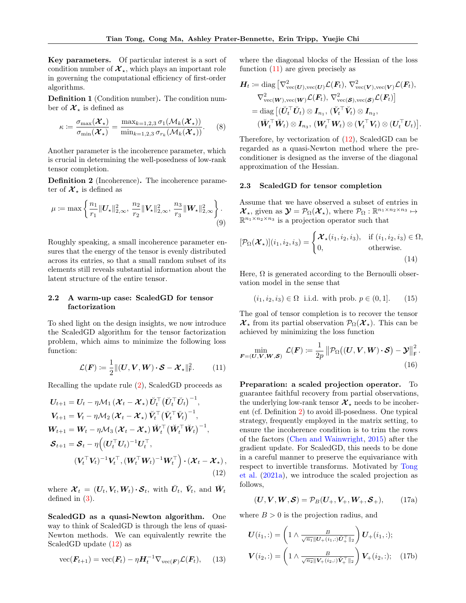Key parameters. Of particular interest is a sort of condition number of  $\mathcal{X}_{*}$ , which plays an important role in governing the computational efficiency of first-order algorithms.

Definition 1 (Condition number). The condition number of  $\mathcal{X}_{\star}$  is defined as

$$
\kappa \coloneqq \frac{\sigma_{\max}(\boldsymbol{\mathcal{X}}_{\star})}{\sigma_{\min}(\boldsymbol{\mathcal{X}}_{\star})} = \frac{\max_{k=1,2,3} \sigma_1(\mathcal{M}_k(\boldsymbol{\mathcal{X}}_{\star}))}{\min_{k=1,2,3} \sigma_{r_k}(\mathcal{M}_k(\boldsymbol{\mathcal{X}}_{\star}))}.
$$
 (8)

Another parameter is the incoherence parameter, which is crucial in determining the well-posedness of low-rank tensor completion.

<span id="page-4-2"></span>Definition 2 (Incoherence). The incoherence parameter of  $\mathcal{X}_{\star}$  is defined as

$$
\mu := \max \left\{ \frac{n_1}{r_1} \| \mathbf{U}_\star \|_{2,\infty}^2, \frac{n_2}{r_2} \| \mathbf{V}_\star \|_{2,\infty}^2, \frac{n_3}{r_3} \| \mathbf{W}_\star \|_{2,\infty}^2 \right\}.
$$
\n(9)

Roughly speaking, a small incoherence parameter ensures that the energy of the tensor is evenly distributed across its entries, so that a small random subset of its elements still reveals substantial information about the latent structure of the entire tensor.

### 2.2 A warm-up case: ScaledGD for tensor factorization

To shed light on the design insights, we now introduce the ScaledGD algorithm for the tensor factorization problem, which aims to minimize the following loss function:

$$
\mathcal{L}(\boldsymbol{F}) \coloneqq \frac{1}{2} ||(\boldsymbol{U}, \boldsymbol{V}, \boldsymbol{W}) \cdot \boldsymbol{S} - \boldsymbol{\mathcal{X}}_{\star}||_{\text{F}}^2. \tag{11}
$$

Recalling the update rule [\(2\)](#page-1-4), ScaledGD proceeds as

$$
U_{t+1} = U_t - \eta \mathcal{M}_1 (\mathcal{X}_t - \mathcal{X}_\star) \check{U}_t^\top (\check{U}_t^\top \check{U}_t)^{-1},
$$
  
\n
$$
V_{t+1} = V_t - \eta \mathcal{M}_2 (\mathcal{X}_t - \mathcal{X}_\star) \check{V}_t^\top (\check{V}_t^\top \check{V}_t)^{-1},
$$
  
\n
$$
W_{t+1} = W_t - \eta \mathcal{M}_3 (\mathcal{X}_t - \mathcal{X}_\star) \check{W}_t^\top (\check{W}_t^\top \check{W}_t)^{-1},
$$
  
\n
$$
\mathcal{S}_{t+1} = \mathcal{S}_t - \eta ((U_t^\top U_t)^{-1} U_t^\top,
$$
  
\n
$$
(V_t^\top V_t)^{-1} V_t^\top, (W_t^\top W_t)^{-1} W_t^\top) \cdot (\mathcal{X}_t - \mathcal{X}_\star),
$$
  
\n(12)

where  $\boldsymbol{\mathcal{X}}_t$  =  $(\boldsymbol{U}_t, V_t, W_t) \cdot \boldsymbol{\mathcal{S}}_t$ , with  $\breve{\boldsymbol{U}}_t$ ,  $\breve{\boldsymbol{V}}_t$ , and  $\breve{\boldsymbol{W}}_t$ defined in [\(3\)](#page-2-1).

ScaledGD as a quasi-Newton algorithm. One way to think of ScaledGD is through the lens of quasi-Newton methods. We can equivalently rewrite the ScaledGD update [\(12\)](#page-4-0) as

$$
\text{vec}(\boldsymbol{F}_{t+1}) = \text{vec}(\boldsymbol{F}_t) - \eta \boldsymbol{H}_t^{-1} \nabla_{\text{vec}(\boldsymbol{F})} \mathcal{L}(\boldsymbol{F}_t), \qquad (13)
$$

where the diagonal blocks of the Hessian of the loss function [\(11\)](#page-4-1) are given precisely as

$$
\mathbf{H}_t \coloneqq \text{diag} \left[ \nabla_{\text{vec}(\mathbf{U}),\text{vec}(\mathbf{U})}^2 \mathcal{L}(\mathbf{F}_t), \nabla_{\text{vec}(\mathbf{V}),\text{vec}(\mathbf{V})}^2 \mathcal{L}(\mathbf{F}_t), \right.\\ \nabla_{\text{vec}(\mathbf{W}),\text{vec}(\mathbf{W})}^2 \mathcal{L}(\mathbf{F}_t), \nabla_{\text{vec}(\mathbf{S}),\text{vec}(\mathbf{S})}^2 \mathcal{L}(\mathbf{F}_t) \right] \\ \n= \text{diag} \left[ (\breve{\mathbf{U}}_t^\top \breve{\mathbf{U}}_t) \otimes \mathbf{I}_{n_1}, (\breve{\mathbf{V}}_t^\top \breve{\mathbf{V}}_t) \otimes \mathbf{I}_{n_2}, \right.\\ \n(\breve{\mathbf{W}}_t^\top \breve{\mathbf{W}}_t) \otimes \mathbf{I}_{n_3}, (\mathbf{W}_t^\top \mathbf{W}_t) \otimes (\mathbf{V}_t^\top \mathbf{V}_t) \otimes (\mathbf{U}_t^\top \mathbf{U}_t) \right].
$$

Therefore, by vectorization of [\(12\)](#page-4-0), ScaledGD can be regarded as a quasi-Newton method where the preconditioner is designed as the inverse of the diagonal approximation of the Hessian.

#### 2.3 ScaledGD for tensor completion

Assume that we have observed a subset of entries in  $\mathcal{X}_{\star}$ , given as  $\mathcal{Y} = \mathcal{P}_{\Omega}(\mathcal{X}_{\star})$ , where  $\mathcal{P}_{\Omega} : \mathbb{R}^{n_1 \times n_2 \times n_3} \mapsto$  $\mathbb{R}^{n_1 \times n_2 \times n_3}$  is a projection operator such that

$$
[\mathcal{P}_{\Omega}(\mathcal{X}_{\star})](i_1, i_2, i_3) = \begin{cases} \mathcal{X}_{\star}(i_1, i_2, i_3), & \text{if } (i_1, i_2, i_3) \in \Omega, \\ 0, & \text{otherwise.} \end{cases}
$$
\n(14)

Here,  $\Omega$  is generated according to the Bernoulli observation model in the sense that

$$
(i_1, i_2, i_3) \in \Omega
$$
 i.i.d. with prob.  $p \in (0, 1]$ . (15)

The goal of tensor completion is to recover the tensor  $\mathcal{X}_{\star}$  from its partial observation  $\mathcal{P}_{\Omega}(\mathcal{X}_{\star})$ . This can be achieved by minimizing the loss function

<span id="page-4-1"></span>
$$
\min_{\boldsymbol{F}=(\boldsymbol{U},\boldsymbol{V},\boldsymbol{W},\boldsymbol{S})} \mathcal{L}(\boldsymbol{F}) \coloneqq \frac{1}{2p} \left\| \mathcal{P}_{\Omega} \big( (\boldsymbol{U},\boldsymbol{V},\boldsymbol{W}) \cdot \boldsymbol{S} \big) - \boldsymbol{\mathcal{Y}} \right\|_{\mathsf{F}}^2. \tag{16}
$$

Preparation: a scaled projection operator. To guarantee faithful recovery from partial observations, the underlying low-rank tensor  $\mathcal{X}_{\star}$  needs to be incoherent (cf. Definition [2\)](#page-4-2) to avoid ill-posedness. One typical strategy, frequently employed in the matrix setting, to ensure the incoherence condition is to trim the rows of the factors [\(Chen and Wainwright,](#page-9-21) [2015\)](#page-9-21) after the gradient update. For ScaledGD, this needs to be done in a careful manner to preserve the equivariance with respect to invertible transforms. Motivated by [Tong](#page-9-19) [et al.](#page-9-19) [\(2021a\)](#page-9-19), we introduce the scaled projection as follows,

<span id="page-4-0"></span>
$$
(\boldsymbol{U}, \boldsymbol{V}, \boldsymbol{W}, \boldsymbol{S}) = \mathcal{P}_B(\boldsymbol{U}_+, \boldsymbol{V}_+, \boldsymbol{W}_+, \boldsymbol{S}_+), \qquad (17a)
$$

where  $B > 0$  is the projection radius, and

$$
\boldsymbol{U}(i_1,:) = \left(1 \wedge \frac{B}{\sqrt{n_1} \| U_+(i_1,:)\tilde{\boldsymbol{U}}_+^{\top} \|_2} \right) \boldsymbol{U}_+(i_1,:);
$$
\n
$$
\boldsymbol{V}(i_2,:) = \left(1 \wedge \frac{B}{\sqrt{n_2} \| \boldsymbol{V}_+(i_2,:)\tilde{\boldsymbol{V}}_+^{\top} \|_2} \right) \boldsymbol{V}_+(i_2,:); \quad (17b)
$$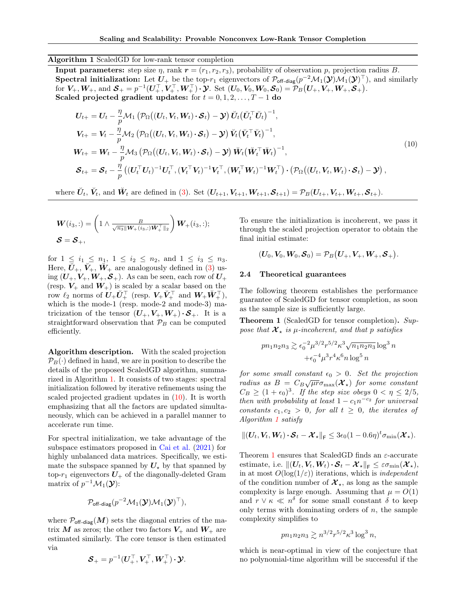### <span id="page-5-0"></span>Algorithm 1 ScaledGD for low-rank tensor completion

**Input parameters:** step size  $\eta$ , rank  $\mathbf{r} = (r_1, r_2, r_3)$ , probability of observation  $p$ , projection radius B. Spectral initialization: Let  $U_+$  be the top- $r_1$  eigenvectors of  $\mathcal{P}_{\text{off-diag}}(p^{-2}\mathcal{M}_1(\mathcal{Y})\mathcal{M}_1(\mathcal{Y})^\top)$ , and similarly for  $V_+, W_+$ , and  $S_+ = p^{-1}(U_+^{\top}, V_+^{\top}, W_+^{\top}) \cdot \mathcal{Y}$ . Set  $(U_0, V_0, W_0, S_0) = \mathcal{P}_B(U_+, V_+, W_+, S_+)$ . Scaled projected gradient updates: for  $t = 0, 1, 2, \ldots, T - 1$  do

$$
\begin{split}\n\boldsymbol{U}_{t+} &= \boldsymbol{U}_{t} - \frac{\eta}{p} \mathcal{M}_{1} \left( \mathcal{P}_{\Omega} \big( (\boldsymbol{U}_{t}, \boldsymbol{V}_{t}, \boldsymbol{W}_{t}) \cdot \boldsymbol{S}_{t} \big) - \boldsymbol{\mathcal{Y}} \right) \check{\boldsymbol{U}}_{t} \big( \check{\boldsymbol{U}}_{t}^{\top} \check{\boldsymbol{U}}_{t} \big)^{-1}, \\
\boldsymbol{V}_{t+} &= \boldsymbol{V}_{t} - \frac{\eta}{p} \mathcal{M}_{2} \left( \mathcal{P}_{\Omega} \big( (\boldsymbol{U}_{t}, \boldsymbol{V}_{t}, \boldsymbol{W}_{t}) \cdot \boldsymbol{S}_{t} \big) - \boldsymbol{\mathcal{Y}} \right) \check{\boldsymbol{V}}_{t} \big( \check{\boldsymbol{V}}_{t}^{\top} \check{\boldsymbol{V}}_{t} \big)^{-1}, \\
\boldsymbol{W}_{t+} &= \boldsymbol{W}_{t} - \frac{\eta}{p} \mathcal{M}_{3} \left( \mathcal{P}_{\Omega} \big( (\boldsymbol{U}_{t}, \boldsymbol{V}_{t}, \boldsymbol{W}_{t}) \cdot \boldsymbol{S}_{t} \big) - \boldsymbol{\mathcal{Y}} \right) \check{\boldsymbol{W}}_{t} \big( \check{\boldsymbol{W}}_{t}^{\top} \check{\boldsymbol{W}}_{t} \big)^{-1}, \\
\boldsymbol{S}_{t+} &= \boldsymbol{S}_{t} - \frac{\eta}{p} \left( (\boldsymbol{U}_{t}^{\top} \boldsymbol{U}_{t})^{-1} \boldsymbol{U}_{t}^{\top}, (\boldsymbol{V}_{t}^{\top} \boldsymbol{V}_{t})^{-1} \boldsymbol{V}_{t}^{\top}, (\boldsymbol{W}_{t}^{\top} \boldsymbol{W}_{t})^{-1} \boldsymbol{W}_{t}^{\top} \right) \cdot \left( \mathcal{P}_{\Omega} \big( (\boldsymbol{U}_{t}, \boldsymbol{V}_{t}, \boldsymbol{W}_{t}) \cdot \boldsymbol{S}_{t} \big) - \boldsymbol{\mathcal{Y}} \right),\n\end{split} \tag{10}
$$

where  $\breve{U}_t$ ,  $\breve{V}_t$ , and  $\breve{W}_t$  are defined in [\(3\)](#page-2-1). Set  $(U_{t+1}, V_{t+1}, W_{t+1}, S_{t+1}) = \mathcal{P}_B(U_{t+}, V_{t+}, W_{t+}, S_{t+}).$ 

$$
\mathbf{W}(i_3,:)=\left(1 \wedge \frac{B}{\sqrt{n_3} \|\mathbf{W}_+(i_3,:)\breve{\mathbf{W}}_+^{\top}\|_2}\right) \mathbf{W}_+(i_3,:);
$$
  

$$
\mathbf{S} = \mathbf{S}_+,
$$

for  $1 \leq i_1 \leq n_1, 1 \leq i_2 \leq n_2$ , and  $1 \leq i_3 \leq n_3$ . Here,  $\check{U}_+$ ,  $\check{V}_+$ ,  $\check{W}_+$  are analogously defined in [\(3\)](#page-2-1) using  $(U_+,V_+,W_+,\mathcal{S}_+)$ . As can be seen, each row of  $U_+$ (resp.  $V_+$  and  $W_+$ ) is scaled by a scalar based on the  $\text{row} \,\, \ell_2 \, \text{ norms } \text{of} \,\, \bm{U}_+ \bm{U}_+^\top \, \text{ (resp. } \, \bm{V}_+ \bm{V}_+^\top \, \text{ and } \, \bm{W}_+ \bm{W}_+^\top),$ which is the mode-1 (resp. mode-2 and mode-3) matricization of the tensor  $(U_+,V_+,W_+) \cdot S_+$ . It is a straightforward observation that  $\mathcal{P}_B$  can be computed efficiently.

Algorithm description. With the scaled projection  $\mathcal{P}_B(\cdot)$  defined in hand, we are in position to describe the details of the proposed ScaledGD algorithm, summarized in Algorithm [1.](#page-5-0) It consists of two stages: spectral initialization followed by iterative refinements using the scaled projected gradient updates in  $(10)$ . It is worth emphasizing that all the factors are updated simultaneously, which can be achieved in a parallel manner to accelerate run time.

For spectral initialization, we take advantage of the subspace estimators proposed in [Cai et al.](#page-9-22) [\(2021\)](#page-9-22) for highly unbalanced data matrices. Specifically, we estimate the subspace spanned by  $U_{\star}$  by that spanned by top- $r_1$  eigenvectors  $U_+$  of the diagonally-deleted Gram matrix of  $p^{-1}M_1(\mathbf{y})$ :

$$
\mathcal{P}_{\mathsf{off-diag}}(p^{-2}\mathcal{M}_1(\boldsymbol{\mathcal{Y}})\mathcal{M}_1(\boldsymbol{\mathcal{Y}})^{\top}),
$$

where  $\mathcal{P}_{\text{off-diag}}(M)$  sets the diagonal entries of the matrix  $M$  as zeros; the other two factors  $V_+$  and  $W_+$  are estimated similarly. The core tensor is then estimated via

$$
\boldsymbol{\mathcal{S}}_{+} = p^{-1}(\boldsymbol{U}_{+}^{\top},\boldsymbol{V}_{+}^{\top},\boldsymbol{W}_{+}^{\top})\cdot\boldsymbol{\mathcal{Y}}.
$$

<span id="page-5-1"></span>To ensure the initialization is incoherent, we pass it through the scaled projection operator to obtain the final initial estimate:

$$
(\boldsymbol{U}_0,\boldsymbol{V}_0,\boldsymbol{W}_0,\boldsymbol{\mathcal{S}}_0)=\mathcal{P}_B(\boldsymbol{U}_+,\boldsymbol{V}_+,\boldsymbol{W}_+,\boldsymbol{\mathcal{S}}_+).
$$

### 2.4 Theoretical guarantees

The following theorem establishes the performance guarantee of ScaledGD for tensor completion, as soon as the sample size is sufficiently large.

<span id="page-5-2"></span>**Theorem 1** (ScaledGD for tensor completion). Suppose that  $\mathcal{X}_{\star}$  is  $\mu$ -incoherent, and that p satisfies

$$
pn_1n_2n_3 \gtrsim \epsilon_0^{-2} \mu^{3/2} r^{5/2} \kappa^3 \sqrt{n_1 n_2 n_3} \log^3 n
$$

$$
+ \epsilon_0^{-4} \mu^3 r^4 \kappa^6 n \log^5 n
$$

for some small constant  $\epsilon_0 > 0$ . Set the projection radius as  $B = C_B \sqrt{\mu r} \sigma_{\text{max}}(\mathcal{X}_\star)$  for some constant  $C_B \geq (1+\epsilon_0)^3$ . If the step size obeys  $0 < \eta \leq 2/5$ , then with probability at least  $1 - c_1 n^{-c_2}$  for universal constants  $c_1, c_2 > 0$ , for all  $t \geq 0$ , the iterates of Algorithm [1](#page-5-0) satisfy

$$
\|(\boldsymbol{U}_t, \boldsymbol{V}_t, \boldsymbol{W}_t)\cdot \boldsymbol{\mathcal{S}}_t - \boldsymbol{\mathcal{X}}_\star \|_{\textsf{F}} \leq 3\epsilon_0(1-0.6\eta)^t\sigma_{\min}(\boldsymbol{\mathcal{X}}_\star).
$$

Theorem [1](#page-5-2) ensures that ScaledGD finds an  $\varepsilon$ -accurate estimate, i.e.  $\|(\mathbf{U}_t,\mathbf{V}_t,\mathbf{W}_t)\cdot \mathbf{S}_t - \mathbf{\mathcal{X}}_{\star}\|_{\mathsf{F}} \leq \varepsilon \sigma_{\min}(\mathbf{\mathcal{X}}_{\star}),$ in at most  $O(\log(1/\varepsilon))$  iterations, which is *independent* of the condition number of  $\mathcal{X}_{\star}$ , as long as the sample complexity is large enough. Assuming that  $\mu = O(1)$ and  $r \vee \kappa \ll n^{\delta}$  for some small constant  $\delta$  to keep only terms with dominating orders of  $n$ , the sample complexity simplifies to

$$
pn_1n_2n_3 \gtrsim n^{3/2}r^{5/2}\kappa^3 \log^3 n,
$$

which is near-optimal in view of the conjecture that no polynomial-time algorithm will be successful if the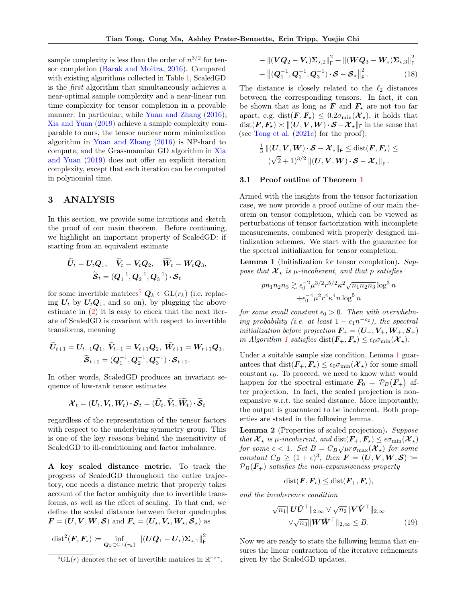sample complexity is less than the order of  $n^{3/2}$  for tensor completion [\(Barak and Moitra,](#page-9-10) [2016\)](#page-9-10). Compared with existing algorithms collected in Table [1,](#page-3-0) ScaledGD is the first algorithm that simultaneously achieves a near-optimal sample complexity and a near-linear run time complexity for tensor completion in a provable manner. In particular, while [Yuan and Zhang](#page-10-5)  $(2016)$ ; [Xia and Yuan](#page-10-4) [\(2019\)](#page-10-4) achieve a sample complexity comparable to ours, the tensor nuclear norm minimization algorithm in [Yuan and Zhang](#page-10-5) [\(2016\)](#page-10-5) is NP-hard to compute, and the Grassmannian GD algorithm in [Xia](#page-10-4) [and Yuan](#page-10-4) [\(2019\)](#page-10-4) does not offer an explicit iteration complexity, except that each iteration can be computed in polynomial time.

# 3 ANALYSIS

In this section, we provide some intuitions and sketch the proof of our main theorem. Before continuing, we highlight an important property of ScaledGD: if starting from an equivalent estimate

$$
\widetilde{U}_t = U_t Q_1, \quad \widetilde{V}_t = V_t Q_2, \quad \widetilde{W}_t = W_t Q_3,
$$

$$
\widetilde{S}_t = (Q_1^{-1}, Q_2^{-1}, Q_3^{-1}) \cdot S_t
$$

for some invertible matrices<sup>[5](#page-6-0)</sup>  $Q_k \in GL(r_k)$  (i.e. replacing  $U_t$  by  $U_tQ_1$ , and so on), by plugging the above estimate in [\(2\)](#page-1-4) it is easy to check that the next iterate of ScaledGD is covariant with respect to invertible transforms, meaning

$$
\widetilde{U}_{t+1} = U_{t+1}Q_1, \ \widetilde{V}_{t+1} = V_{t+1}Q_2, \ \widetilde{W}_{t+1} = W_{t+1}Q_3, \n\widetilde{\boldsymbol{S}}_{t+1} = (Q_1^{-1}, Q_2^{-1}, Q_3^{-1}) \cdot \boldsymbol{S}_{t+1}.
$$

In other words, ScaledGD produces an invariant sequence of low-rank tensor estimates

$$
\boldsymbol{\mathcal{X}}_t = (\boldsymbol{U}_t, \boldsymbol{V}_t, \boldsymbol{W}_t) \cdot \boldsymbol{\mathcal{S}}_t = (\widetilde{\boldsymbol{U}}_t, \widetilde{\boldsymbol{V}}_t, \widetilde{\boldsymbol{W}}_t) \cdot \widetilde{\boldsymbol{\mathcal{S}}}_t
$$

regardless of the representation of the tensor factors with respect to the underlying symmetry group. This is one of the key reasons behind the insensitivity of ScaledGD to ill-conditioning and factor imbalance.

A key scaled distance metric. To track the progress of ScaledGD throughout the entire trajectory, one needs a distance metric that properly takes account of the factor ambiguity due to invertible transforms, as well as the effect of scaling. To that end, we define the scaled distance between factor quadruples  $\mathbf{F} = (\mathbf{U}, \mathbf{V}, \mathbf{W}, \mathbf{S})$  and  $\mathbf{F}_{\star} = (\mathbf{U}_{\star}, \mathbf{V}_{\star}, \mathbf{W}_{\star}, \mathbf{S}_{\star})$  as

$$
\mathrm{dist}^2(\boldsymbol{F}, \boldsymbol{F_\star}) \coloneqq \inf_{\boldsymbol{Q}_k \in \mathrm{GL}(r_k)} \ \left\| (\boldsymbol{U}\boldsymbol{Q}_1 - \boldsymbol{U_\star})\boldsymbol{\Sigma}_{\star,1} \right\|_{\mathsf{F}}^2
$$

$$
+\left\|(VQ_2-V_\star)\Sigma_{\star,2}\right\|_{\mathsf{F}}^2+\left\|(WQ_3-W_\star)\Sigma_{\star,3}\right\|_{\mathsf{F}}^2
$$
  
+
$$
\left\|(Q_1^{-1},Q_2^{-1},Q_3^{-1})\cdot\mathcal{S}-\mathcal{S}_\star\right\|_{\mathsf{F}}^2.
$$
 (18)

The distance is closely related to the  $\ell_2$  distances between the corresponding tensors. In fact, it can be shown that as long as  $\mathbf{F}$  and  $\mathbf{F}_{\star}$  are not too far apart, e.g. dist $(\mathbf{F},\mathbf{F}_{\star}) \leq 0.2\sigma_{\min}(\mathbf{\mathcal{X}}_{\star})$ , it holds that  $dist(\mathbf{F}, \mathbf{F}_\star) \asymp ||(\mathbf{U}, \mathbf{V}, \mathbf{W}) \cdot \mathbf{S} - \mathbf{\mathcal{X}}_\star||_{\mathsf{F}}$  in the sense that (see [Tong et al.](#page-10-3) [\(2021c\)](#page-10-3) for the proof):

$$
\begin{aligned} \tfrac{1}{3} \, & \left\| \left( \boldsymbol{U}, \boldsymbol{V}, \boldsymbol{W} \right) \boldsymbol{\cdot} \boldsymbol{\mathcal{S}} - \boldsymbol{\mathcal{X}}_{\star} \right\|_{\textsf{F}} \leq \text{dist}(\boldsymbol{F}, \boldsymbol{F}_{\star}) \leq \\ & \left( \sqrt{2} + 1 \right)^{3/2} \left\| \left( \boldsymbol{U}, \boldsymbol{V}, \boldsymbol{W} \right) \boldsymbol{\cdot} \boldsymbol{\mathcal{S}} - \boldsymbol{\mathcal{X}}_{\star} \right\|_{\textsf{F}}. \end{aligned}
$$

### 3.1 Proof outline of Theorem [1](#page-5-2)

Armed with the insights from the tensor factorization case, we now provide a proof outline of our main theorem on tensor completion, which can be viewed as perturbations of tensor factorization with incomplete measurements, combined with properly designed initialization schemes. We start with the guarantee for the spectral initialization for tensor completion.

<span id="page-6-1"></span>Lemma 1 (Initialization for tensor completion). Suppose that  $\mathcal{X}_{\star}$  is  $\mu$ -incoherent, and that p satisfies

$$
pn_1n_2n_3 \gtrsim \epsilon_0^{-2} \mu^{3/2} r^{5/2} \kappa^2 \sqrt{n_1 n_2 n_3} \log^3 n
$$
  
 
$$
+ \epsilon_0^{-4} \mu^2 r^4 \kappa^4 n \log^5 n
$$

for some small constant  $\epsilon_0 > 0$ . Then with overwhelming probability (i.e. at least  $1 - c_1 n^{-c_2}$ ), the spectral initialization before projection  $\mathbf{F}_{+} = (\mathbf{U}_{+}, \mathbf{V}_{+}, \mathbf{W}_{+}, \mathbf{S}_{+})$ in Algorithm [1](#page-5-0) satisfies dist $(\mathbf{F}_{+},\mathbf{F}_{*}) \leq \epsilon_0 \sigma_{\min}(\mathbf{\mathcal{X}}_{*}).$ 

Under a suitable sample size condition, Lemma [1](#page-6-1) guarantees that  $dist(\mathbf{F}_{+},\mathbf{F}_{*}) \leq \epsilon_0 \sigma_{\min}(\mathbf{\mathcal{X}}_{*})$  for some small constant  $\epsilon_0$ . To proceed, we need to know what would happen for the spectral estimate  $\mathbf{F}_0 = \mathcal{P}_B(\mathbf{F}_+)$  after projection. In fact, the scaled projection is nonexpansive w.r.t. the scaled distance. More importantly, the output is guaranteed to be incoherent. Both properties are stated in the following lemma.

<span id="page-6-2"></span>Lemma 2 (Properties of scaled projection). Suppose that  $\mathcal{X}_{\star}$  is  $\mu$ -incoherent, and  $dist(\mathbf{F}_{+},\mathbf{F}_{\star}) \leq \epsilon \sigma_{\min}(\mathcal{X}_{\star})$ for some  $\epsilon < 1$ . Set  $B = C_B \sqrt{\mu r} \sigma_{\text{max}}(\mathbf{x}_{\star})$  for some constant  $C_B \ge (1+\epsilon)^3$ , then  $\mathbf{F} = (\mathbf{U}, \mathbf{V}, \mathbf{W}, \mathbf{S}) =$  $\mathcal{P}_B(F_+)$  satisfies the non-expansiveness property

$$
\mathrm{dist}(\boldsymbol{F},\boldsymbol{F_\star}) \leq \mathrm{dist}(\boldsymbol{F_+},\boldsymbol{F_\star}),
$$

and the incoherence condition

$$
\sqrt{n_1} \|\boldsymbol{U}\boldsymbol{U}^\top\|_{2,\infty} \vee \sqrt{n_2} \|\boldsymbol{V}\boldsymbol{V}^\top\|_{2,\infty}
$$
  
 
$$
\vee \sqrt{n_3} \|\boldsymbol{W}\boldsymbol{W}^\top\|_{2,\infty} \leq B. \tag{19}
$$

Now we are ready to state the following lemma that ensures the linear contraction of the iterative refinements given by the ScaledGD updates.

<span id="page-6-0"></span><sup>&</sup>lt;sup>5</sup> $GL(r)$  denotes the set of invertible matrices in  $\mathbb{R}^{r \times r}$ .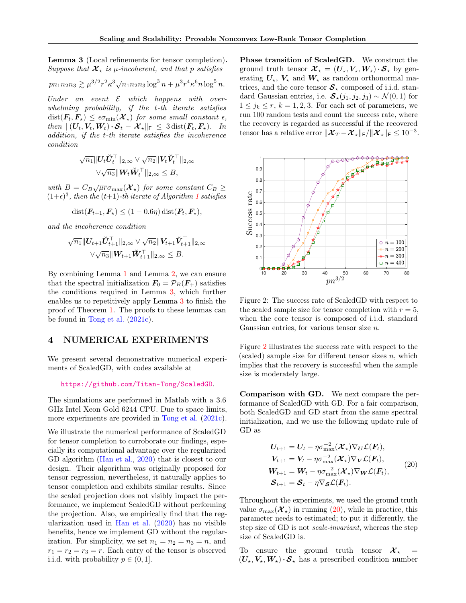<span id="page-7-0"></span>Lemma 3 (Local refinements for tensor completion). Suppose that  $\mathcal{X}_{\star}$  is  $\mu$ -incoherent, and that p satisfies

$$
pn_1n_2n_3 \gtrsim \mu^{3/2}r^2\kappa^3\sqrt{n_1n_2n_3}\log^3 n + \mu^3r^4\kappa^6 n\log^5 n.
$$

Under an event  $\mathcal E$  which happens with overwhelming probability, if the t-th iterate satisfies  $dist(\mathbf{F}_t, \mathbf{F}_\star) \leq \epsilon \sigma_{\min}(\mathbf{\mathcal{X}}_\star)$  for some small constant  $\epsilon$ , then  $||(U_t, V_t, W_t) \cdot \mathcal{S}_t - \mathcal{X}_*||_F \leq 3 \text{dist}(\mathbf{F}_t, \mathbf{F}_*).$  In addition, if the t-th iterate satisfies the incoherence condition

$$
\sqrt{n_1} \| \mathbf{U}_t \breve{\mathbf{U}}_t^\top \|_{2,\infty} \vee \sqrt{n_2} \| \mathbf{V}_t \breve{\mathbf{V}}_t^\top \|_{2,\infty} \\ \vee \sqrt{n_3} \| \mathbf{W}_t \breve{\mathbf{W}}_t^\top \|_{2,\infty} \leq B,
$$

with  $B = C_B \sqrt{\mu r} \sigma_{\text{max}}(\mathcal{X}_\star)$  for some constant  $C_B \geq$  $(1+\epsilon)^3$  $(1+\epsilon)^3$  $(1+\epsilon)^3$ , then the  $(t+1)$ -th iterate of Algorithm 1 satisfies

$$
dist(\boldsymbol{F}_{t+1}, \boldsymbol{F}_{\star}) \leq (1 - 0.6\eta) \, dist(\boldsymbol{F}_t, \boldsymbol{F}_{\star}),
$$

and the incoherence condition

$$
\sqrt{n_1} \| \mathbf{U}_{t+1} \check{\mathbf{U}}_{t+1}^\top \|_{2,\infty} \vee \sqrt{n_2} \| \mathbf{V}_{t+1} \check{\mathbf{V}}_{t+1}^\top \|_{2,\infty} \\ \vee \sqrt{n_3} \| \mathbf{W}_{t+1} \check{\mathbf{W}}_{t+1}^\top \|_{2,\infty} \leq B.
$$

By combining Lemma [1](#page-6-1) and Lemma [2,](#page-6-2) we can ensure that the spectral initialization  $\mathbf{F}_0 = \mathcal{P}_B(\mathbf{F}_+)$  satisfies the conditions required in Lemma [3,](#page-7-0) which further enables us to repetitively apply Lemma [3](#page-7-0) to finish the proof of Theorem [1.](#page-5-2) The proofs to these lemmas can be found in [Tong et al.](#page-10-3) [\(2021c\)](#page-10-3).

# 4 NUMERICAL EXPERIMENTS

We present several demonstrative numerical experiments of ScaledGD, with codes available at

<https://github.com/Titan-Tong/ScaledGD>.

The simulations are performed in Matlab with a 3.6 GHz Intel Xeon Gold 6244 CPU. Due to space limits, more experiments are provided in [Tong et al.](#page-10-3) [\(2021c\)](#page-10-3).

We illustrate the numerical performance of ScaledGD for tensor completion to corroborate our findings, especially its computational advantage over the regularized GD algorithm [\(Han et al.,](#page-9-14) [2020\)](#page-9-14) that is closest to our design. Their algorithm was originally proposed for tensor regression, nevertheless, it naturally applies to tensor completion and exhibits similar results. Since the scaled projection does not visibly impact the performance, we implement ScaledGD without performing the projection. Also, we empirically find that the regularization used in [Han et al.](#page-9-14) [\(2020\)](#page-9-14) has no visible benefits, hence we implement GD without the regularization. For simplicity, we set  $n_1 = n_2 = n_3 = n$ , and  $r_1 = r_2 = r_3 = r$ . Each entry of the tensor is observed i.i.d. with probability  $p \in (0, 1]$ .

Phase transition of ScaledGD. We construct the ground truth tensor  $\mathcal{X}_{\star} = (U_{\star}, V_{\star}, W_{\star}) \cdot \mathcal{S}_{\star}$  by generating  $U_{\star}$ ,  $V_{\star}$  and  $W_{\star}$  as random orthonormal matrices, and the core tensor  $S_{\star}$  composed of i.i.d. standard Gaussian entries, i.e.  $\mathcal{S}_\star(j_1, j_2, j_3) \sim \mathcal{N}(0, 1)$  for  $1 \leq j_k \leq r, k = 1, 2, 3$ . For each set of parameters, we run 100 random tests and count the success rate, where the recovery is regarded as successful if the recovered tensor has a relative error  $\|\mathcal{X}_T - \mathcal{X}_\star\|_{\textsf{F}} / \| \mathcal{X}_\star\|_{\textsf{F}} \leq 10^{-3}$ .



<span id="page-7-1"></span>Figure 2: The success rate of ScaledGD with respect to the scaled sample size for tensor completion with  $r = 5$ , when the core tensor is composed of i.i.d. standard Gaussian entries, for various tensor size  $n$ .

Figure [2](#page-7-1) illustrates the success rate with respect to the (scaled) sample size for different tensor sizes  $n$ , which implies that the recovery is successful when the sample size is moderately large.

Comparison with GD. We next compare the performance of ScaledGD with GD. For a fair comparison, both ScaledGD and GD start from the same spectral initialization, and we use the following update rule of GD as

<span id="page-7-2"></span>
$$
U_{t+1} = U_t - \eta \sigma_{\max}^{-2}(\mathcal{X}_\star) \nabla_U \mathcal{L}(\mathbf{F}_t),
$$
  
\n
$$
V_{t+1} = V_t - \eta \sigma_{\max}^{-2}(\mathcal{X}_\star) \nabla_V \mathcal{L}(\mathbf{F}_t),
$$
  
\n
$$
W_{t+1} = W_t - \eta \sigma_{\max}^{-2}(\mathcal{X}_\star) \nabla_W \mathcal{L}(\mathbf{F}_t),
$$
  
\n
$$
\mathcal{S}_{t+1} = \mathcal{S}_t - \eta \nabla_S \mathcal{L}(\mathbf{F}_t).
$$
\n(20)

Throughout the experiments, we used the ground truth value  $\sigma_{\text{max}}(\mathcal{X}_*)$  in running [\(20\)](#page-7-2), while in practice, this parameter needs to estimated; to put it differently, the step size of GD is not scale-invariant, whereas the step size of ScaledGD is.

To ensure the ground truth tensor  $\mathcal{X}_{*}$  =  $(U_{\star},V_{\star},W_{\star})\cdot\mathcal{S}_{\star}$  has a prescribed condition number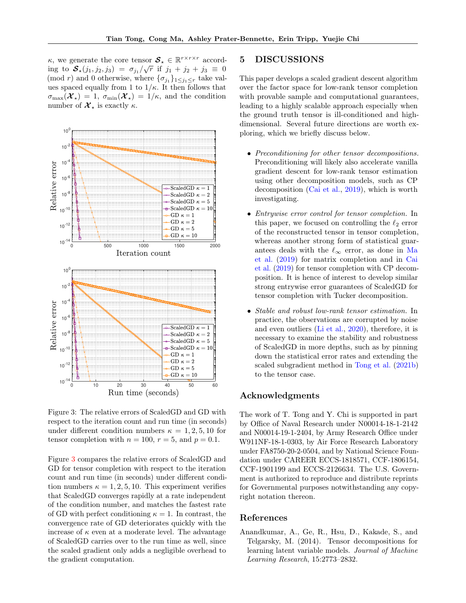$\kappa$ , we generate the core tensor  $\mathcal{S}_{\star} \in \mathbb{R}^{r \times r \times r}$  according to  $S_{\star}(j_1, j_2, j_3) = \sigma_{j_1}/\sqrt{r}$  if  $j_1 + j_2 + j_3 \equiv 0$ (mod r) and 0 otherwise, where  $\{\sigma_{j_1}\}_{1 \leq j_1 \leq r}$  take values spaced equally from 1 to  $1/\kappa$ . It then follows that  $\sigma_{\max}(\mathcal{X}_{\star}) = 1$ ,  $\sigma_{\min}(\mathcal{X}_{\star}) = 1/\kappa$ , and the condition number of  $\mathcal{X}_{\star}$  is exactly  $\kappa$ .



<span id="page-8-1"></span>Figure 3: The relative errors of ScaledGD and GD with respect to the iteration count and run time (in seconds) under different condition numbers  $\kappa = 1, 2, 5, 10$  for tensor completion with  $n = 100$ ,  $r = 5$ , and  $p = 0.1$ .

Figure [3](#page-8-1) compares the relative errors of ScaledGD and GD for tensor completion with respect to the iteration count and run time (in seconds) under different condition numbers  $\kappa = 1, 2, 5, 10$ . This experiment verifies that ScaledGD converges rapidly at a rate independent of the condition number, and matches the fastest rate of GD with perfect conditioning  $\kappa = 1$ . In contrast, the convergence rate of GD deteriorates quickly with the increase of  $\kappa$  even at a moderate level. The advantage of ScaledGD carries over to the run time as well, since the scaled gradient only adds a negligible overhead to the gradient computation.

# 5 DISCUSSIONS

This paper develops a scaled gradient descent algorithm over the factor space for low-rank tensor completion with provable sample and computational guarantees, leading to a highly scalable approach especially when the ground truth tensor is ill-conditioned and highdimensional. Several future directions are worth exploring, which we briefly discuss below.

- Preconditioning for other tensor decompositions. Preconditioning will likely also accelerate vanilla gradient descent for low-rank tensor estimation using other decomposition models, such as CP decomposition [\(Cai et al.,](#page-9-23) [2019\)](#page-9-23), which is worth investigating.
- Entrywise error control for tensor completion. In this paper, we focused on controlling the  $\ell_2$  error of the reconstructed tensor in tensor completion, whereas another strong form of statistical guarantees deals with the  $\ell_{\infty}$  error, as done in [Ma](#page-9-24) [et al.](#page-9-24) [\(2019\)](#page-9-24) for matrix completion and in [Cai](#page-9-23) [et al.](#page-9-23) [\(2019\)](#page-9-23) for tensor completion with CP decomposition. It is hence of interest to develop similar strong entrywise error guarantees of ScaledGD for tensor completion with Tucker decomposition.
- Stable and robust low-rank tensor estimation. In practice, the observations are corrupted by noise and even outliers [\(Li et al.,](#page-9-25) [2020\)](#page-9-25), therefore, it is necessary to examine the stability and robustness of ScaledGD in more depths, such as by pinning down the statistical error rates and extending the scaled subgradient method in [Tong et al.](#page-10-6) [\(2021b\)](#page-10-6) to the tensor case.

# Acknowledgments

The work of T. Tong and Y. Chi is supported in part by Office of Naval Research under N00014-18-1-2142 and N00014-19-1-2404, by Army Research Office under W911NF-18-1-0303, by Air Force Research Laboratory under FA8750-20-2-0504, and by National Science Foundation under CAREER ECCS-1818571, CCF-1806154, CCF-1901199 and ECCS-2126634. The U.S. Government is authorized to reproduce and distribute reprints for Governmental purposes notwithstanding any copyright notation thereon.

### References

<span id="page-8-0"></span>Anandkumar, A., Ge, R., Hsu, D., Kakade, S., and Telgarsky, M. (2014). Tensor decompositions for learning latent variable models. Journal of Machine Learning Research, 15:2773–2832.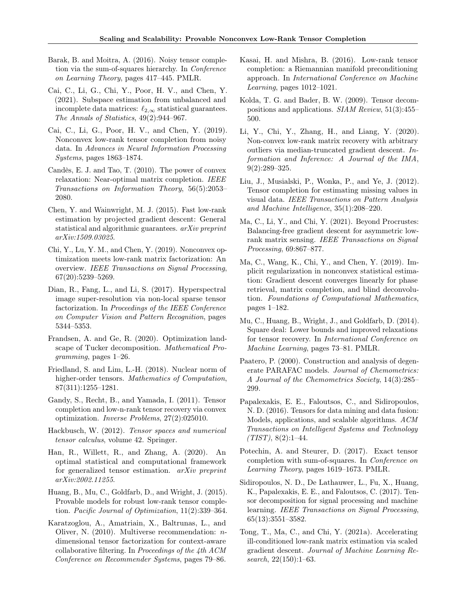- <span id="page-9-10"></span>Barak, B. and Moitra, A. (2016). Noisy tensor completion via the sum-of-squares hierarchy. In Conference on Learning Theory, pages 417–445. PMLR.
- <span id="page-9-22"></span>Cai, C., Li, G., Chi, Y., Poor, H. V., and Chen, Y. (2021). Subspace estimation from unbalanced and incomplete data matrices:  $\ell_{2,\infty}$  statistical guarantees. The Annals of Statistics, 49(2):944–967.
- <span id="page-9-23"></span>Cai, C., Li, G., Poor, H. V., and Chen, Y. (2019). Nonconvex low-rank tensor completion from noisy data. In Advances in Neural Information Processing Systems, pages 1863–1874.
- <span id="page-9-8"></span>Candès, E. J. and Tao, T. (2010). The power of convex relaxation: Near-optimal matrix completion. IEEE Transactions on Information Theory, 56(5):2053– 2080.
- <span id="page-9-21"></span>Chen, Y. and Wainwright, M. J. (2015). Fast low-rank estimation by projected gradient descent: General statistical and algorithmic guarantees. arXiv preprint arXiv:1509.03025.
- <span id="page-9-15"></span>Chi, Y., Lu, Y. M., and Chen, Y. (2019). Nonconvex optimization meets low-rank matrix factorization: An overview. IEEE Transactions on Signal Processing, 67(20):5239–5269.
- <span id="page-9-3"></span>Dian, R., Fang, L., and Li, S. (2017). Hyperspectral image super-resolution via non-local sparse tensor factorization. In Proceedings of the IEEE Conference on Computer Vision and Pattern Recognition, pages 5344–5353.
- <span id="page-9-16"></span>Frandsen, A. and Ge, R. (2020). Optimization landscape of Tucker decomposition. Mathematical Programming, pages 1–26.
- <span id="page-9-9"></span>Friedland, S. and Lim, L.-H. (2018). Nuclear norm of higher-order tensors. Mathematics of Computation, 87(311):1255–1281.
- <span id="page-9-12"></span>Gandy, S., Recht, B., and Yamada, I. (2011). Tensor completion and low-n-rank tensor recovery via convex optimization. Inverse Problems, 27(2):025010.
- <span id="page-9-7"></span>Hackbusch, W. (2012). Tensor spaces and numerical tensor calculus, volume 42. Springer.
- <span id="page-9-14"></span>Han, R., Willett, R., and Zhang, A. (2020). An optimal statistical and computational framework for generalized tensor estimation. arXiv preprint arXiv:2002.11255.
- <span id="page-9-20"></span>Huang, B., Mu, C., Goldfarb, D., and Wright, J. (2015). Provable models for robust low-rank tensor completion. Pacific Journal of Optimization, 11(2):339–364.
- <span id="page-9-5"></span>Karatzoglou, A., Amatriain, X., Baltrunas, L., and Oliver, N. (2010). Multiverse recommendation: ndimensional tensor factorization for context-aware collaborative filtering. In Proceedings of the 4th ACM Conference on Recommender Systems, pages 79–86.
- <span id="page-9-17"></span>Kasai, H. and Mishra, B. (2016). Low-rank tensor completion: a Riemannian manifold preconditioning approach. In International Conference on Machine Learning, pages 1012–1021.
- <span id="page-9-0"></span>Kolda, T. G. and Bader, B. W. (2009). Tensor decompositions and applications. SIAM Review, 51(3):455– 500.
- <span id="page-9-25"></span>Li, Y., Chi, Y., Zhang, H., and Liang, Y. (2020). Non-convex low-rank matrix recovery with arbitrary outliers via median-truncated gradient descent. Information and Inference: A Journal of the IMA,  $9(2):289-325.$
- <span id="page-9-2"></span>Liu, J., Musialski, P., Wonka, P., and Ye, J. (2012). Tensor completion for estimating missing values in visual data. IEEE Transactions on Pattern Analysis and Machine Intelligence, 35(1):208–220.
- <span id="page-9-18"></span>Ma, C., Li, Y., and Chi, Y. (2021). Beyond Procrustes: Balancing-free gradient descent for asymmetric lowrank matrix sensing. IEEE Transactions on Signal Processing, 69:867–877.
- <span id="page-9-24"></span>Ma, C., Wang, K., Chi, Y., and Chen, Y. (2019). Implicit regularization in nonconvex statistical estimation: Gradient descent converges linearly for phase retrieval, matrix completion, and blind deconvolution. Foundations of Computational Mathematics, pages 1–182.
- <span id="page-9-13"></span>Mu, C., Huang, B., Wright, J., and Goldfarb, D. (2014). Square deal: Lower bounds and improved relaxations for tensor recovery. In International Conference on Machine Learning, pages 73–81. PMLR.
- <span id="page-9-6"></span>Paatero, P. (2000). Construction and analysis of degenerate PARAFAC models. Journal of Chemometrics: A Journal of the Chemometrics Society, 14(3):285– 299.
- <span id="page-9-4"></span>Papalexakis, E. E., Faloutsos, C., and Sidiropoulos, N. D. (2016). Tensors for data mining and data fusion: Models, applications, and scalable algorithms. ACM Transactions on Intelligent Systems and Technology  $(TIST), 8(2):1-44.$
- <span id="page-9-11"></span>Potechin, A. and Steurer, D. (2017). Exact tensor completion with sum-of-squares. In Conference on Learning Theory, pages 1619–1673. PMLR.
- <span id="page-9-1"></span>Sidiropoulos, N. D., De Lathauwer, L., Fu, X., Huang, K., Papalexakis, E. E., and Faloutsos, C. (2017). Tensor decomposition for signal processing and machine learning. IEEE Transactions on Signal Processing, 65(13):3551–3582.
- <span id="page-9-19"></span>Tong, T., Ma, C., and Chi, Y. (2021a). Accelerating ill-conditioned low-rank matrix estimation via scaled gradient descent. Journal of Machine Learning Research, 22(150):1–63.